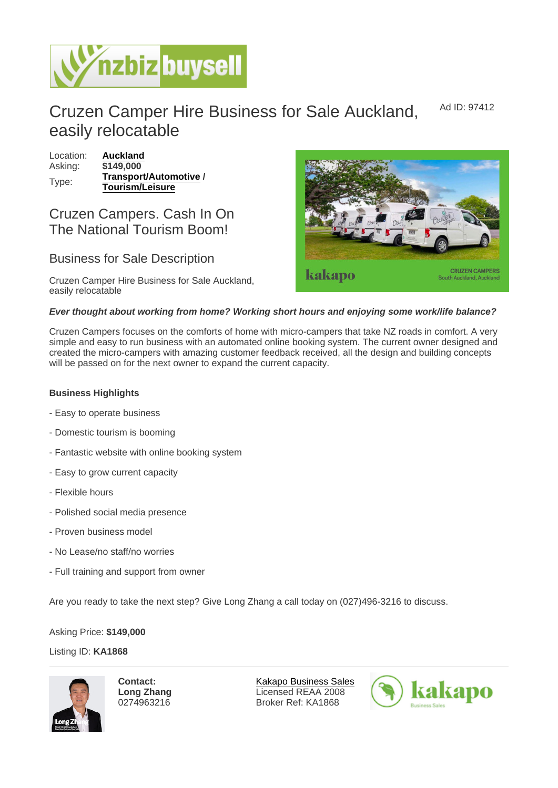## Cruzen Camper Hire Business for Sale Auckland, easily relocatable Ad ID: 97412

Location: [Auckland](https://www.nzbizbuysell.co.nz/businesses-for-sale/location/Auckland) Asking: \$149,000 Type: [Transport/Automotive](https://www.nzbizbuysell.co.nz/businesses-for-sale/Transport--Automotive/New-Zealand) / Tourism/Leisure

## Cruzen Campers. Cash In On The National Tourism Boom!

## Business for Sale Description

Cruzen Camper Hire Business for Sale Auckland, easily relocatable

Ever thought about working from home? Working short hours and enjoying some work/life balance?

Cruzen Campers focuses on the comforts of home with micro-campers that take NZ roads in comfort. A very simple and easy to run business with an automated online booking system. The current owner designed and created the micro-campers with amazing customer feedback received, all the design and building concepts will be passed on for the next owner to expand the current capacity.

Business Highlights

- Easy to operate business
- Domestic tourism is booming
- Fantastic website with online booking system
- Easy to grow current capacity
- Flexible hours
- Polished social media presence
- Proven business model
- No Lease/no staff/no worries
- Full training and support from owner

Are you ready to take the next step? Give Long Zhang a call today on (027)496-3216 to discuss.

Asking Price: \$149,000

Listing ID: KA1868

Contact: Long Zhang 0274963216

[Kakapo Business Sales](https://www.nzbizbuysell.co.nz/business-brokers/216/kakapo-business-sales/brokerage-listings) Licensed REAA 2008 Broker Ref: KA1868